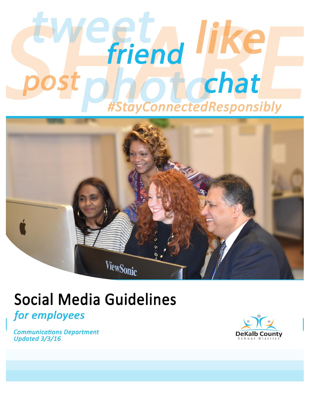



# **Social Media Guidelines**

for employees

**Communications Department Updated 3/3/16** 

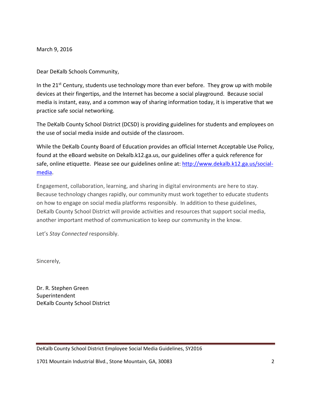March 9, 2016

Dear DeKalb Schools Community,

In the  $21<sup>st</sup>$  Century, students use technology more than ever before. They grow up with mobile devices at their fingertips, and the Internet has become a social playground. Because social media is instant, easy, and a common way of sharing information today, it is imperative that we practice safe social networking.

The DeKalb County School District (DCSD) is providing guidelines for students and employees on the use of social media inside and outside of the classroom.

While the DeKalb County Board of Education provides an official Internet Acceptable Use Policy, found at the eBoard website on Dekalb.k12.ga.us, our guidelines offer a quick reference for safe, online etiquette. Please see our guidelines online at[: http://www.dekalb.k12.ga.us/social](http://www.dekalb.k12.ga.us/social-media)[media.](http://www.dekalb.k12.ga.us/social-media)

Engagement, collaboration, learning, and sharing in digital environments are here to stay. Because technology changes rapidly, our community must work together to educate students on how to engage on social media platforms responsibly. In addition to these guidelines, DeKalb County School District will provide activities and resources that support social media, another important method of communication to keep our community in the know.

Let's *Stay Connected* responsibly.

Sincerely,

Dr. R. Stephen Green Superintendent DeKalb County School District

DeKalb County School District Employee Social Media Guidelines, SY2016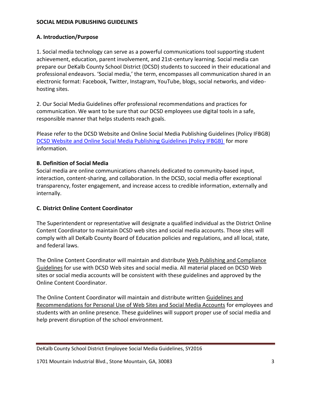#### **SOCIAL MEDIA PUBLISHING GUIDELINES**

#### **A. Introduction/Purpose**

1. Social media technology can serve as a powerful communications tool supporting student achievement, education, parent involvement, and 21st-century learning. Social media can prepare our DeKalb County School District (DCSD) students to succeed in their educational and professional endeavors. 'Social media,' the term, encompasses all communication shared in an electronic format: Facebook, Twitter, Instagram, YouTube, blogs, social networks, and videohosting sites.

2. Our Social Media Guidelines offer professional recommendations and practices for communication. We want to be sure that our DCSD employees use digital tools in a safe, responsible manner that helps students reach goals.

Please refer to the DCSD Website and Online Social Media Publishing Guidelines (Policy IFBGB) [DCSD Website and Online Social Media Publishing Guidelines \(Policy IFBGB\)](https://eboard.eboardsolutions.com/ePolicy/Policy.aspx?S=4054&Sch=4054&PC=IFBGB&revNo=1.72&srch=social+media&ktype=Exact%20) for more information.

#### **B. Definition of Social Media**

Social media are online communications channels dedicated to community-based input, interaction, content-sharing, and collaboration. In the DCSD, social media offer exceptional transparency, foster engagement, and increase access to credible information, externally and internally.

#### **C. District Online Content Coordinator**

The Superintendent or representative will designate a qualified individual as the District Online Content Coordinator to maintain DCSD web sites and social media accounts. Those sites will comply with all DeKalb County Board of Education policies and regulations, and all local, state, and federal laws.

The Online Content Coordinator will maintain and distribute Web Publishing and Compliance Guidelines for use with DCSD Web sites and social media. All material placed on DCSD Web sites or social media accounts will be consistent with these guidelines and approved by the Online Content Coordinator.

The Online Content Coordinator will maintain and distribute written Guidelines and Recommendations for Personal Use of Web Sites and Social Media Accounts for employees and students with an online presence. These guidelines will support proper use of social media and help prevent disruption of the school environment.

DeKalb County School District Employee Social Media Guidelines, SY2016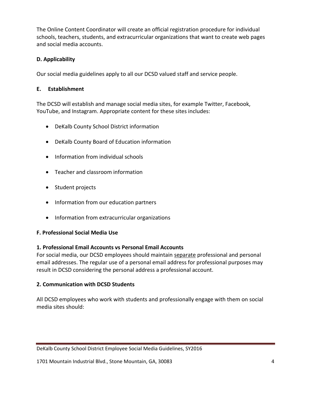The Online Content Coordinator will create an official registration procedure for individual schools, teachers, students, and extracurricular organizations that want to create web pages and social media accounts.

## **D. Applicability**

Our social media guidelines apply to all our DCSD valued staff and service people.

### **E. Establishment**

The DCSD will establish and manage social media sites, for example Twitter, Facebook, YouTube, and Instagram. Appropriate content for these sites includes:

- DeKalb County School District information
- DeKalb County Board of Education information
- Information from individual schools
- Teacher and classroom information
- Student projects
- Information from our education partners
- Information from extracurricular organizations

## **F. Professional Social Media Use**

#### **1. Professional Email Accounts vs Personal Email Accounts**

For social media, our DCSD employees should maintain separate professional and personal email addresses. The regular use of a personal email address for professional purposes may result in DCSD considering the personal address a professional account.

## **2. Communication with DCSD Students**

All DCSD employees who work with students and professionally engage with them on social media sites should: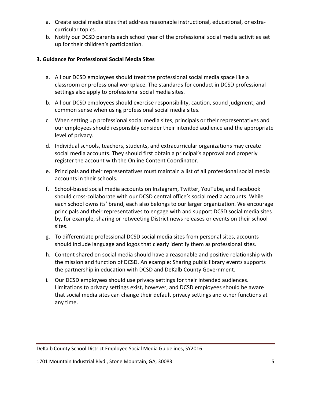- a. Create social media sites that address reasonable instructional, educational, or extracurricular topics.
- b. Notify our DCSD parents each school year of the professional social media activities set up for their children's participation.

### **3. Guidance for Professional Social Media Sites**

- a. All our DCSD employees should treat the professional social media space like a classroom or professional workplace. The standards for conduct in DCSD professional settings also apply to professional social media sites.
- b. All our DCSD employees should exercise responsibility, caution, sound judgment, and common sense when using professional social media sites.
- c. When setting up professional social media sites, principals or their representatives and our employees should responsibly consider their intended audience and the appropriate level of privacy.
- d. Individual schools, teachers, students, and extracurricular organizations may create social media accounts. They should first obtain a principal's approval and properly register the account with the Online Content Coordinator.
- e. Principals and their representatives must maintain a list of all professional social media accounts in their schools.
- f. School-based social media accounts on Instagram, Twitter, YouTube, and Facebook should cross-collaborate with our DCSD central office's social media accounts. While each school owns its' brand, each also belongs to our larger organization. We encourage principals and their representatives to engage with and support DCSD social media sites by, for example, sharing or retweeting District news releases or events on their school sites.
- g. To differentiate professional DCSD social media sites from personal sites, accounts should include language and logos that clearly identify them as professional sites.
- h. Content shared on social media should have a reasonable and positive relationship with the mission and function of DCSD. An example: Sharing public library events supports the partnership in education with DCSD and DeKalb County Government.
- i. Our DCSD employees should use privacy settings for their intended audiences. Limitations to privacy settings exist, however, and DCSD employees should be aware that social media sites can change their default privacy settings and other functions at any time.

DeKalb County School District Employee Social Media Guidelines, SY2016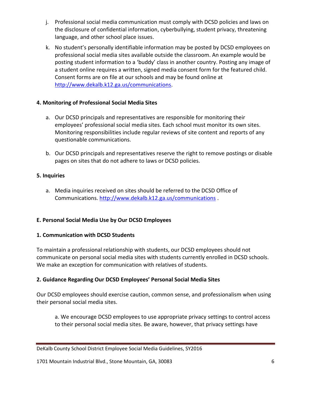- j. Professional social media communication must comply with DCSD policies and laws on the disclosure of confidential information, cyberbullying, student privacy, threatening language, and other school place issues.
- k. No student's personally identifiable information may be posted by DCSD employees on professional social media sites available outside the classroom. An example would be posting student information to a 'buddy' class in another country. Posting any image of a student online requires a written, signed [media consent form](http://www.dekalb.k12.ga.us/www/documents/communications/media-release/english.pdf) for the featured child. Consent forms are on file at our schools and may be found online at [http://www.dekalb.k12.ga.us/communications.](http://www.dekalb.k12.ga.us/communications)

### **4. Monitoring of Professional Social Media Sites**

- a. Our DCSD principals and representatives are responsible for monitoring their employees' professional social media sites. Each school must monitor its own sites. Monitoring responsibilities include regular reviews of site content and reports of any questionable communications.
- b. Our DCSD principals and representatives reserve the right to remove postings or disable pages on sites that do not adhere to laws or DCSD policies.

#### **5. Inquiries**

a. Media inquiries received on sites should be referred to the DCSD Office of Communications.<http://www.dekalb.k12.ga.us/communications> .

#### **E. Personal Social Media Use by Our DCSD Employees**

#### **1. Communication with DCSD Students**

To maintain a professional relationship with students, our DCSD employees should not communicate on personal social media sites with students currently enrolled in DCSD schools. We make an exception for communication with relatives of students.

#### **2. Guidance Regarding Our DCSD Employees' Personal Social Media Sites**

Our DCSD employees should exercise caution, common sense, and professionalism when using their personal social media sites.

a. We encourage DCSD employees to use appropriate privacy settings to control access to their personal social media sites. Be aware, however, that privacy settings have

DeKalb County School District Employee Social Media Guidelines, SY2016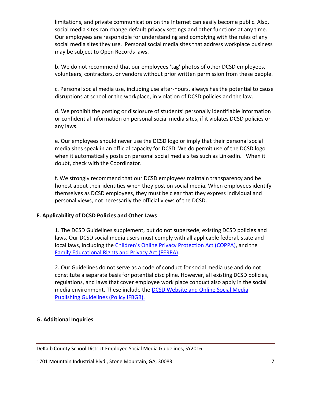limitations, and private communication on the Internet can easily become public. Also, social media sites can change default privacy settings and other functions at any time. Our employees are responsible for understanding and complying with the rules of any social media sites they use. Personal social media sites that address workplace business may be subject to Open Records laws.

b. We do not recommend that our employees 'tag' photos of other DCSD employees, volunteers, contractors, or vendors without prior written permission from these people.

c. Personal social media use, including use after-hours, always has the potential to cause disruptions at school or the workplace, in violation of DCSD policies and the law.

d. We prohibit the posting or disclosure of students' personally identifiable information or confidential information on personal social media sites, if it violates DCSD policies or any laws.

e. Our employees should never use the DCSD logo or imply that their personal social media sites speak in an official capacity for DCSD. We do permit use of the DCSD logo when it automatically posts on personal social media sites such as LinkedIn. When it doubt, check with the Coordinator.

f. We strongly recommend that our DCSD employees maintain transparency and be honest about their identities when they post on social media. When employees identify themselves as DCSD employees, they must be clear that they express individual and personal views, not necessarily the official views of the DCSD.

#### **F. Applicability of DCSD Policies and Other Laws**

1. The DCSD Guidelines supplement, but do not supersede, existing DCSD policies and laws. Our DCSD social media users must comply with all applicable federal, state and local laws, including the [Children's Online Privacy Protection Act \(COPPA](http://business.ftc.gov/privacy-and-security/children)), and the [Family Educational Rights and Privacy Act \(FERPA\).](http://www2.ed.gov/policy/gen/guid/fpco/index.html.)

2. Our Guidelines do not serve as a code of conduct for social media use and do not constitute a separate basis for potential discipline. However, all existing DCSD policies, regulations, and laws that cover employee work place conduct also apply in the social media environment. These include the [DCSD Website and Online Social Media](https://eboard.eboardsolutions.com/ePolicy/Policy.aspx?S=4054&Sch=4054&PC=IFBGB&revNo=1.72&srch=social+media&ktype=Exact)  [Publishing Guidelines \(Policy IFBGB\).](https://eboard.eboardsolutions.com/ePolicy/Policy.aspx?S=4054&Sch=4054&PC=IFBGB&revNo=1.72&srch=social+media&ktype=Exact) 

#### **G. Additional Inquiries**

DeKalb County School District Employee Social Media Guidelines, SY2016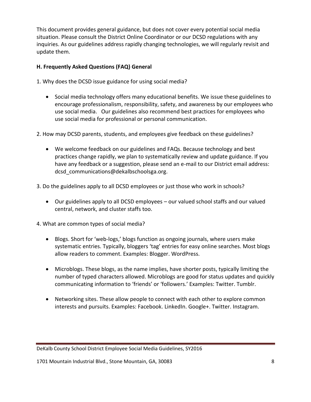This document provides general guidance, but does not cover every potential social media situation. Please consult the District Online Coordinator or our DCSD regulations with any inquiries. As our guidelines address rapidly changing technologies, we will regularly revisit and update them.

#### **H. Frequently Asked Questions (FAQ) General**

1. Why does the DCSD issue guidance for using social media?

- Social media technology offers many educational benefits. We issue these guidelines to encourage professionalism, responsibility, safety, and awareness by our employees who use social media. Our guidelines also recommend best practices for employees who use social media for professional or personal communication.
- 2. How may DCSD parents, students, and employees give feedback on these guidelines?
	- We welcome feedback on our guidelines and FAQs. Because technology and best practices change rapidly, we plan to systematically review and update guidance. If you have any feedback or a suggestion, please send an e-mail to our District email address: dcsd\_communications@dekalbschoolsga.org.
- 3. Do the guidelines apply to all DCSD employees or just those who work in schools?
	- Our guidelines apply to all DCSD employees our valued school staffs and our valued central, network, and cluster staffs too.
- 4. What are common types of social media?
	- Blogs. Short for 'web-logs,' blogs function as ongoing journals, where users make systematic entries. Typically, bloggers 'tag' entries for easy online searches. Most blogs allow readers to comment. Examples: Blogger. WordPress.
	- Microblogs. These blogs, as the name implies, have shorter posts, typically limiting the number of typed characters allowed. Microblogs are good for status updates and quickly communicating information to 'friends' or 'followers.' Examples: Twitter. Tumblr.
	- Networking sites. These allow people to connect with each other to explore common interests and pursuits. Examples: Facebook. LinkedIn. Google+. Twitter. Instagram.

DeKalb County School District Employee Social Media Guidelines, SY2016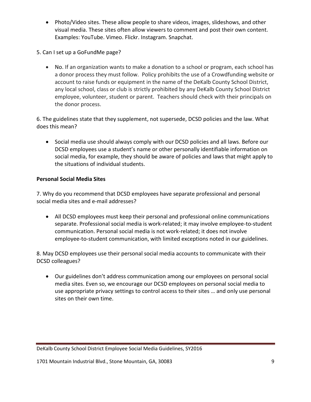- Photo/Video sites. These allow people to share videos, images, slideshows, and other visual media. These sites often allow viewers to comment and post their own content. Examples: YouTube. Vimeo. Flickr. Instagram. Snapchat.
- 5. Can I set up a GoFundMe page?
	- No. If an organization wants to make a donation to a school or program, each school has a donor process they must follow. Policy prohibits the use of a Crowdfunding website or account to raise funds or equipment in the name of the DeKalb County School District, any local school, class or club is strictly prohibited by any DeKalb County School District employee, volunteer, student or parent. Teachers should check with their principals on the donor process.

6. The guidelines state that they supplement, not supersede, DCSD policies and the law. What does this mean?

 Social media use should always comply with our DCSD policies and all laws. Before our DCSD employees use a student's name or other personally identifiable information on social media, for example, they should be aware of policies and laws that might apply to the situations of individual students.

### **Personal Social Media Sites**

7. Why do you recommend that DCSD employees have separate professional and personal social media sites and e-mail addresses?

 All DCSD employees must keep their personal and professional online communications separate. Professional social media is work-related; it may involve employee-to-student communication. Personal social media is not work-related; it does not involve employee-to-student communication, with limited exceptions noted in our guidelines.

8. May DCSD employees use their personal social media accounts to communicate with their DCSD colleagues?

 Our guidelines don't address communication among our employees on personal social media sites. Even so, we encourage our DCSD employees on personal social media to use appropriate privacy settings to control access to their sites … and only use personal sites on their own time.

DeKalb County School District Employee Social Media Guidelines, SY2016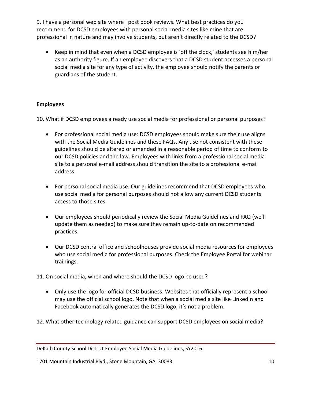9. I have a personal web site where I post book reviews. What best practices do you recommend for DCSD employees with personal social media sites like mine that are professional in nature and may involve students, but aren't directly related to the DCSD?

 Keep in mind that even when a DCSD employee is 'off the clock,' students see him/her as an authority figure. If an employee discovers that a DCSD student accesses a personal social media site for any type of activity, the employee should notify the parents or guardians of the student.

## **Employees**

10. What if DCSD employees already use social media for professional or personal purposes?

- For professional social media use: DCSD employees should make sure their use aligns with the Social Media Guidelines and these FAQs. Any use not consistent with these guidelines should be altered or amended in a reasonable period of time to conform to our DCSD policies and the law. Employees with links from a professional social media site to a personal e-mail address should transition the site to a professional e-mail address.
- For personal social media use: Our guidelines recommend that DCSD employees who use social media for personal purposes should not allow any current DCSD students access to those sites.
- Our employees should periodically review the Social Media Guidelines and FAQ (we'll update them as needed) to make sure they remain up-to-date on recommended practices.
- Our DCSD central office and schoolhouses provide social media resources for employees who use social media for professional purposes. Check the Employee Portal for webinar trainings.
- 11. On social media, when and where should the DCSD logo be used?
	- Only use the logo for official DCSD business. Websites that officially represent a school may use the official school logo. Note that when a social media site like LinkedIn and Facebook automatically generates the DCSD logo, it's not a problem.
- 12. What other technology-related guidance can support DCSD employees on social media?

DeKalb County School District Employee Social Media Guidelines, SY2016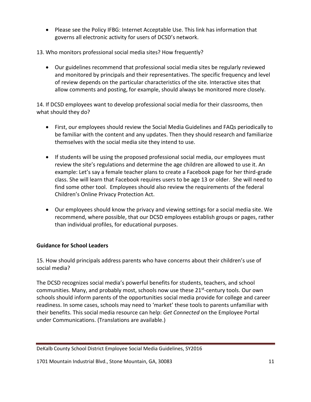- Please see the Policy IFBG: Internet Acceptable Use. This link has information that governs all electronic activity for users of DCSD's network.
- 13. Who monitors professional social media sites? How frequently?
	- Our guidelines recommend that professional social media sites be regularly reviewed and monitored by principals and their representatives. The specific frequency and level of review depends on the particular characteristics of the site. Interactive sites that allow comments and posting, for example, should always be monitored more closely.

14. If DCSD employees want to develop professional social media for their classrooms, then what should they do?

- First, our employees should review the Social Media Guidelines and FAQs periodically to be familiar with the content and any updates. Then they should research and familiarize themselves with the social media site they intend to use.
- If students will be using the proposed professional social media, our employees must review the site's regulations and determine the age children are allowed to use it. An example: Let's say a female teacher plans to create a Facebook page for her third-grade class. She will learn that Facebook requires users to be age 13 or older. She will need to find some other tool. Employees should also review the requirements of the federal Children's Online Privacy Protection Act.
- Our employees should know the privacy and viewing settings for a social media site. We recommend, where possible, that our DCSD employees establish groups or pages, rather than individual profiles, for educational purposes.

## **Guidance for School Leaders**

15. How should principals address parents who have concerns about their children's use of social media?

The DCSD recognizes social media's powerful benefits for students, teachers, and school communities. Many, and probably most, schools now use these 21<sup>st</sup>-century tools. Our own schools should inform parents of the opportunities social media provide for college and career readiness. In some cases, schools may need to 'market' these tools to parents unfamiliar with their benefits. This social media resource can help: *Get Connected* on the Employee Portal under Communications. (Translations are available.)

DeKalb County School District Employee Social Media Guidelines, SY2016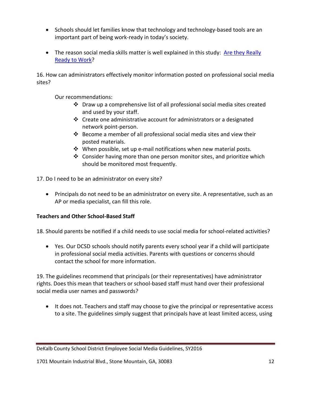- Schools should let families know that technology and technology-based tools are an important part of being work-ready in today's society.
- The reason social media skills matter is well explained in this study: Are they Really [Ready to Work?](http://www.p21.org/storage/documents/FINAL_REPORT_PDF09-29-06.pdf)

16. How can administrators effectively monitor information posted on professional social media sites?

Our recommendations:

- $\clubsuit$  Draw up a comprehensive list of all professional social media sites created and used by your staff.
- $\cdot$  Create one administrative account for administrators or a designated network point-person.
- $\cdot$  Become a member of all professional social media sites and view their posted materials.
- $\cdot$  When possible, set up e-mail notifications when new material posts.
- $\div$  Consider having more than one person monitor sites, and prioritize which should be monitored most frequently.

17. Do I need to be an administrator on every site?

 Principals do not need to be an administrator on every site. A representative, such as an AP or media specialist, can fill this role.

## **Teachers and Other School-Based Staff**

18. Should parents be notified if a child needs to use social media for school-related activities?

 Yes. Our DCSD schools should notify parents every school year if a child will participate in professional social media activities. Parents with questions or concerns should contact the school for more information.

19. The guidelines recommend that principals (or their representatives) have administrator rights. Does this mean that teachers or school-based staff must hand over their professional social media user names and passwords?

• It does not. Teachers and staff may choose to give the principal or representative access to a site. The guidelines simply suggest that principals have at least limited access, using

DeKalb County School District Employee Social Media Guidelines, SY2016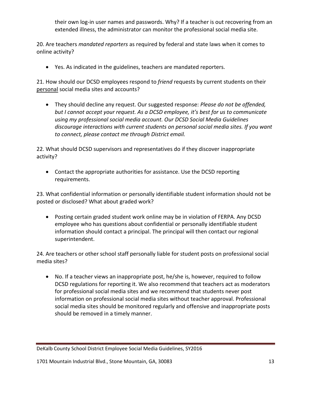their own log-in user names and passwords. Why? If a teacher is out recovering from an extended illness, the administrator can monitor the professional social media site.

20. Are teachers *mandated reporters* as required by federal and state laws when it comes to online activity?

Yes. As indicated in the guidelines, teachers are mandated reporters.

21. How should our DCSD employees respond to *friend* requests by current students on their personal social media sites and accounts?

 They should decline any request. Our suggested response: *Please do not be offended, but I cannot accept your request. As a DCSD employee, it's best for us to communicate using my professional social media account. Our DCSD Social Media Guidelines discourage interactions with current students on personal social media sites. If you want to connect, please contact me through District email.*

22. What should DCSD supervisors and representatives do if they discover inappropriate activity?

 Contact the appropriate authorities for assistance. Use the DCSD reporting requirements.

23. What confidential information or personally identifiable student information should not be posted or disclosed? What about graded work?

 Posting certain graded student work online may be in violation of FERPA. Any DCSD employee who has questions about confidential or personally identifiable student information should contact a principal. The principal will then contact our regional superintendent.

24. Are teachers or other school staff personally liable for student posts on professional social media sites?

 No. If a teacher views an inappropriate post, he/she is, however, required to follow DCSD regulations for reporting it. We also recommend that teachers act as moderators for professional social media sites and we recommend that students never post information on professional social media sites without teacher approval. Professional social media sites should be monitored regularly and offensive and inappropriate posts should be removed in a timely manner.

DeKalb County School District Employee Social Media Guidelines, SY2016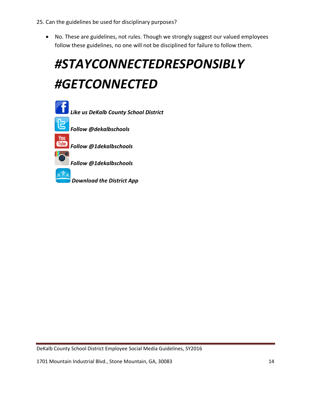• No. These are guidelines, not rules. Though we strongly suggest our valued employees follow these guidelines, no one will not be disciplined for failure to follow them.

## *#STAYCONNECTEDRESPONSIBLY #GETCONNECTED*



DeKalb County School District Employee Social Media Guidelines, SY2016